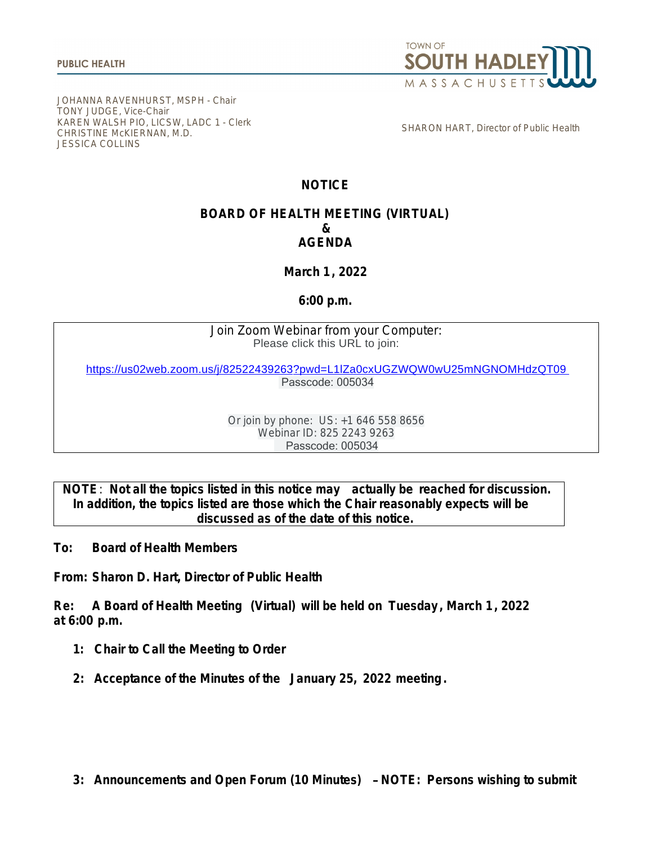

[JOHANNA RAVENHURST, MSPH - Chair](https://us02web.zoom.us/j/82522439263?pwd=L1lZa0cxUGZWQW0wU25mNGNOMHdzQT09) [TONY JUDGE, Vice-Chair](https://us02web.zoom.us/j/82522439263?pwd=L1lZa0cxUGZWQW0wU25mNGNOMHdzQT09) [KAREN WALSH](https://us02web.zoom.us/j/82522439263?pwd=L1lZa0cxUGZWQW0wU25mNGNOMHdzQT09) [PIO, LICSW, LADC 1 - Clerk](https://us02web.zoom.us/j/82522439263?pwd=L1lZa0cxUGZWQW0wU25mNGNOMHdzQT09) [CHRISTINE McKIERNAN, M.D.](https://us02web.zoom.us/j/82522439263?pwd=L1lZa0cxUGZWQW0wU25mNGNOMHdzQT09) [JESSICA COLLINS](https://us02web.zoom.us/j/82522439263?pwd=L1lZa0cxUGZWQW0wU25mNGNOMHdzQT09)

[SHARON HART, Director of Public Health](https://us02web.zoom.us/j/82522439263?pwd=L1lZa0cxUGZWQW0wU25mNGNOMHdzQT09)

## **NOTICE**

## **BOARD OF HEALTH MEETING (VIRTUAL) & AGENDA**

**March 1, 2022**

## **6:00 p.m.**

Join Zoom Webinar from your Computer: Please click this URL to join:

<https://us02web.zoom.us/j/82522439263?pwd=L1lZa0cxUGZWQW0wU25mNGNOMHdzQT09>  [Passcode: 005034](https://us02web.zoom.us/j/82522439263?pwd=L1lZa0cxUGZWQW0wU25mNGNOMHdzQT09)

> [Or join by phone: US: +1 646 558 8656](https://us02web.zoom.us/j/82522439263?pwd=L1lZa0cxUGZWQW0wU25mNGNOMHdzQT09) [Webinar ID: 825 2243 9263](https://us02web.zoom.us/j/82522439263?pwd=L1lZa0cxUGZWQW0wU25mNGNOMHdzQT09)  [Passcode: 005034](https://us02web.zoom.us/j/82522439263?pwd=L1lZa0cxUGZWQW0wU25mNGNOMHdzQT09)

**[NOTE](https://us02web.zoom.us/j/82522439263?pwd=L1lZa0cxUGZWQW0wU25mNGNOMHdzQT09)**[:](https://us02web.zoom.us/j/82522439263?pwd=L1lZa0cxUGZWQW0wU25mNGNOMHdzQT09) **[Not all the topics listed in this notice may actually be reached for discussion.](https://us02web.zoom.us/j/82522439263?pwd=L1lZa0cxUGZWQW0wU25mNGNOMHdzQT09) [In addition, the topics listed are those which the Chair reasonably expects will be](https://us02web.zoom.us/j/82522439263?pwd=L1lZa0cxUGZWQW0wU25mNGNOMHdzQT09) [discussed as of the date of this notice.](https://us02web.zoom.us/j/82522439263?pwd=L1lZa0cxUGZWQW0wU25mNGNOMHdzQT09)**

**[To:](https://us02web.zoom.us/j/82522439263?pwd=L1lZa0cxUGZWQW0wU25mNGNOMHdzQT09) [Board of Health Members](https://us02web.zoom.us/j/82522439263?pwd=L1lZa0cxUGZWQW0wU25mNGNOMHdzQT09)**

**[From:](https://us02web.zoom.us/j/82522439263?pwd=L1lZa0cxUGZWQW0wU25mNGNOMHdzQT09) [Sharon D. Hart, Director of Public Health](https://us02web.zoom.us/j/82522439263?pwd=L1lZa0cxUGZWQW0wU25mNGNOMHdzQT09)**

**[Re:](https://us02web.zoom.us/j/82522439263?pwd=L1lZa0cxUGZWQW0wU25mNGNOMHdzQT09) [A Board of Health Meeting \(Virtual\) will be held on](https://us02web.zoom.us/j/82522439263?pwd=L1lZa0cxUGZWQW0wU25mNGNOMHdzQT09) [Tuesday](https://us02web.zoom.us/j/82522439263?pwd=L1lZa0cxUGZWQW0wU25mNGNOMHdzQT09) [, March 1, 2022](https://us02web.zoom.us/j/82522439263?pwd=L1lZa0cxUGZWQW0wU25mNGNOMHdzQT09) [at 6:00 p.m.](https://us02web.zoom.us/j/82522439263?pwd=L1lZa0cxUGZWQW0wU25mNGNOMHdzQT09)**

- **[1: Chair to Call the Meeting to Order](https://us02web.zoom.us/j/82522439263?pwd=L1lZa0cxUGZWQW0wU25mNGNOMHdzQT09)**
- **[2: Acceptance of the Minutes of the](https://us02web.zoom.us/j/82522439263?pwd=L1lZa0cxUGZWQW0wU25mNGNOMHdzQT09) [January 25, 2022 meeting.](https://us02web.zoom.us/j/82522439263?pwd=L1lZa0cxUGZWQW0wU25mNGNOMHdzQT09)**

**[3: Announcements and Open Forum \(10 Minutes\)](https://us02web.zoom.us/j/82522439263?pwd=L1lZa0cxUGZWQW0wU25mNGNOMHdzQT09)** – **NOTE: Persons wishing to submit**